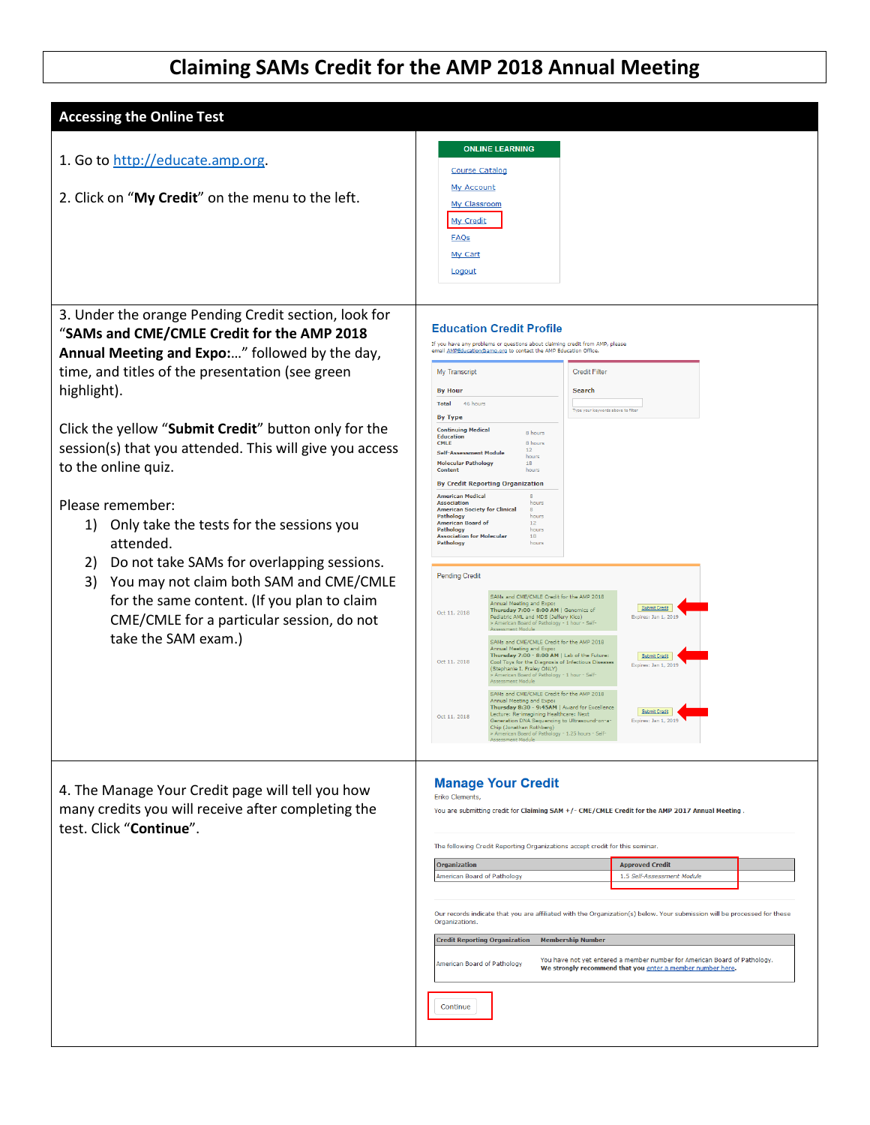## **Claiming SAMs Credit for the AMP 2018 Annual Meeting**

| <b>Accessing the Online Test</b>                                                                                                                                                                                                                                                                                                                                 |                                                                                                                                                                                                                                                                                                                                                                                                                                                                                                                                                                                                                                                                                                                                                                                                                                                                                                                                                                                                                                                                                                                                                                                                                                               |
|------------------------------------------------------------------------------------------------------------------------------------------------------------------------------------------------------------------------------------------------------------------------------------------------------------------------------------------------------------------|-----------------------------------------------------------------------------------------------------------------------------------------------------------------------------------------------------------------------------------------------------------------------------------------------------------------------------------------------------------------------------------------------------------------------------------------------------------------------------------------------------------------------------------------------------------------------------------------------------------------------------------------------------------------------------------------------------------------------------------------------------------------------------------------------------------------------------------------------------------------------------------------------------------------------------------------------------------------------------------------------------------------------------------------------------------------------------------------------------------------------------------------------------------------------------------------------------------------------------------------------|
| 1. Go to http://educate.amp.org.<br>2. Click on "My Credit" on the menu to the left.                                                                                                                                                                                                                                                                             | <b>ONLINE LEARNING</b><br>Course Catalog<br>My Account<br>My Classroom<br>My Credit<br><b>FAQs</b><br>My Cart<br>Logout                                                                                                                                                                                                                                                                                                                                                                                                                                                                                                                                                                                                                                                                                                                                                                                                                                                                                                                                                                                                                                                                                                                       |
| 3. Under the orange Pending Credit section, look for<br>"SAMs and CME/CMLE Credit for the AMP 2018<br>Annual Meeting and Expo:" followed by the day,<br>time, and titles of the presentation (see green<br>highlight).<br>Click the yellow "Submit Credit" button only for the<br>session(s) that you attended. This will give you access<br>to the online quiz. | <b>Education Credit Profile</b><br>If you have any problems or questions about claiming credit from AMP, please<br>email <u>AMPEducation@amp.org</u> to contact the AMP Education Office.<br><b>Credit Filter</b><br>My Transcript<br>Search<br><b>By Hour</b><br>46 hours<br><b>Total</b><br>Type your keywords above to filter<br><b>By Type</b><br><b>Continuing Medical</b><br>8 hours<br><b>Education</b><br><b>CMLE</b><br>8 hours<br>12<br><b>Self-Assessment Module</b><br>hours<br><b>Molecular Pathology</b><br>18<br><b>Content</b><br>hours<br><b>By Credit Reporting Organization</b>                                                                                                                                                                                                                                                                                                                                                                                                                                                                                                                                                                                                                                            |
| Please remember:<br>Only take the tests for the sessions you<br>1)<br>attended.<br>Do not take SAMs for overlapping sessions.<br>2)<br>You may not claim both SAM and CME/CMLE<br>3)<br>for the same content. (If you plan to claim<br>CME/CMLE for a particular session, do not<br>take the SAM exam.)                                                          | <b>American Medical</b><br><b>Association</b><br>hours<br><b>American Society for Clinical</b><br>Pathology<br>hours<br><b>American Board of</b><br>12 <sup>12</sup><br>Pathology<br>hours<br><b>Association for Molecular</b><br>18<br>Pathology<br>hours<br><b>Pending Credit</b><br>SAMs and CME/CMLE Credit for the AMP 2018<br>Annual Meeting and Expo:<br>Submit Credit<br>Thursday 7:00 - 8:00 AM   Genomics of<br>Oct 11, 2018<br>Pediatric AML and MDS (Jeffery Klco)<br>Expires: Jan 1, 2019<br>American Board of Pathology - 1 hour - Self<br>nent Module<br>SAMs and CME/CMLE Credit for the AMP 2018<br>Annual Meeting and Expo:<br>Thursday 7:00 - 8:00 AM   Lab of the Future:<br>Submit Credit<br>Oct 11, 2018<br>Cool Toys for the Diagnosis of Infectious Diseases<br>Expires: Jan 1, 2019<br>(Stephanie I. Fraley ONLY)<br>American Board of Pathology - 1 hour - Self-<br>Assessment Module<br>SAMs and CME/CMLE Credit for the AMP 2018<br>Annual Meeting and Expo:<br>Thursday 8:30 - 9:45AM   Award for Excellence<br>Submit Credit<br>Lecture: Re-imagining Healthcare: Next<br>Oct 11, 2018<br>Generation DNA Sequencing to Ultrasound-on-a-<br>Expires: Jan 1, 2019<br>Chip (Jonathan Rothberg)<br>Assessment Modul |
| 4. The Manage Your Credit page will tell you how<br>many credits you will receive after completing the<br>test. Click "Continue".                                                                                                                                                                                                                                | <b>Manage Your Credit</b><br>Eriko Clements,<br>You are submitting credit for Claiming SAM +/- CME/CMLE Credit for the AMP 2017 Annual Meeting.<br>The following Credit Reporting Organizations accept credit for this seminar.<br><b>Organization</b><br><b>Approved Credit</b><br>American Board of Pathology<br>1.5 Self-Assessment Module<br>Our records indicate that you are affiliated with the Organization(s) below. Your submission will be processed for these<br>Organizations.<br><b>Credit Reporting Organization</b><br><b>Membership Number</b><br>You have not yet entered a member number for American Board of Pathology.<br>American Board of Pathology<br>We strongly recommend that you enter a member number here.<br>Continue                                                                                                                                                                                                                                                                                                                                                                                                                                                                                         |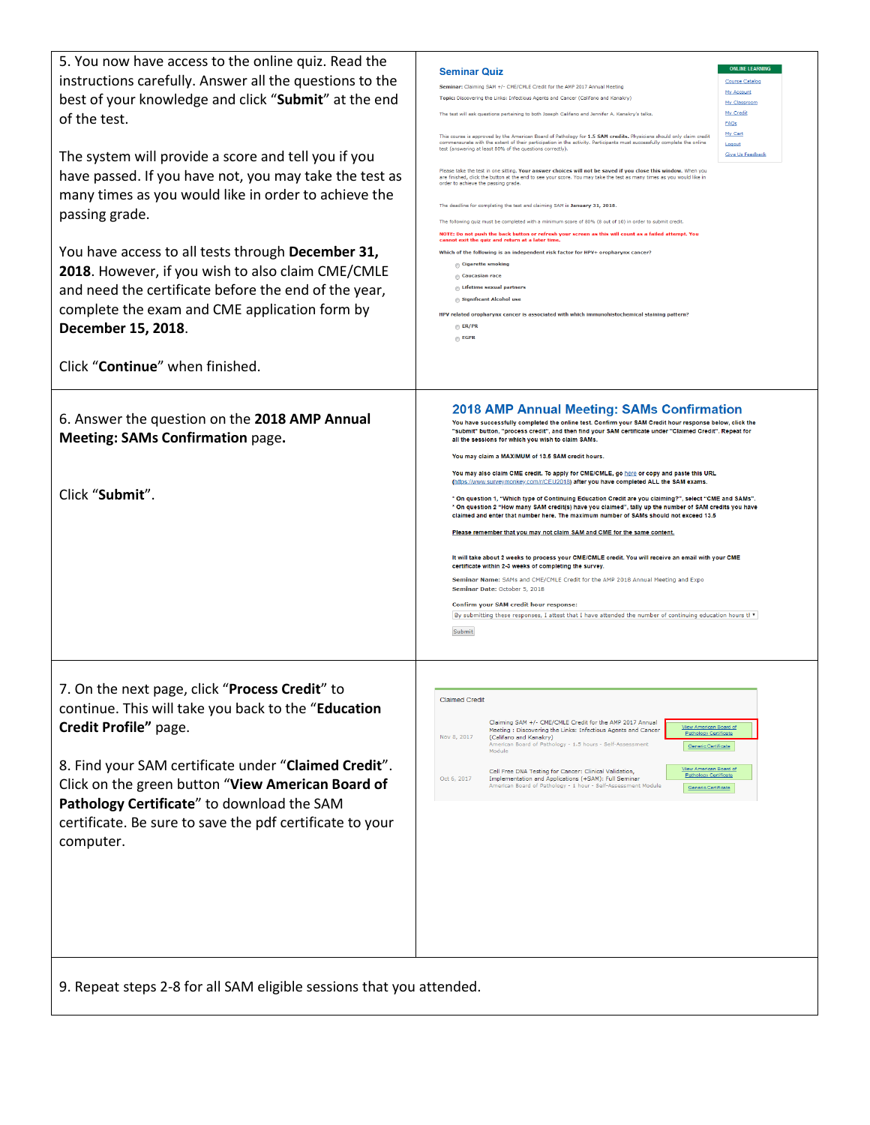| 5. You now have access to the online quiz. Read the                  |                                                                                                                                                                                                                                                | <b>ONLINE LEARNING</b>  |  |
|----------------------------------------------------------------------|------------------------------------------------------------------------------------------------------------------------------------------------------------------------------------------------------------------------------------------------|-------------------------|--|
| instructions carefully. Answer all the questions to the              | <b>Seminar Quiz</b>                                                                                                                                                                                                                            | <b>Course Catalog</b>   |  |
|                                                                      | Seminar: Claiming SAM +/- CME/CMLE Credit for the AMP 2017 Annual Meeting                                                                                                                                                                      | My Account              |  |
| best of your knowledge and click "Submit" at the end                 | Topic: Discovering the Links: Infectious Agents and Cancer (Califano and Kanakry)                                                                                                                                                              | My Classroom            |  |
| of the test.                                                         | The test will ask questions pertaining to both Joseph Califano and Jennifer A. Kanakry's talks                                                                                                                                                 | My Credit               |  |
|                                                                      |                                                                                                                                                                                                                                                | FAQs                    |  |
|                                                                      | This course is approved by the American Board of Pathology for 1.5 SAM credits. Physicians should only claim credit<br>commensurate with the extent of their participation in the activity. Participants must successfully complete the online | My Cart<br>Logout       |  |
|                                                                      | test (answering at least 80% of the questions correctly).                                                                                                                                                                                      | <b>Give Us Feedback</b> |  |
| The system will provide a score and tell you if you                  |                                                                                                                                                                                                                                                |                         |  |
| have passed. If you have not, you may take the test as               | Please take the test in one sitting. Your answer choices will not be saved if you close this window. When you<br>are finished, click the button at the end to see your score. You may take the test as many times as you would like in         |                         |  |
|                                                                      | order to achieve the passing grade                                                                                                                                                                                                             |                         |  |
| many times as you would like in order to achieve the                 | The deadline for completing the test and claiming SAM is January 31, 2018                                                                                                                                                                      |                         |  |
| passing grade.                                                       |                                                                                                                                                                                                                                                |                         |  |
|                                                                      | The following quiz must be completed with a minimum score of 80% (8 out of 10) in order to submit credit                                                                                                                                       |                         |  |
|                                                                      | NOTE: Do not push the back button or refresh your screen as this will count as a failed attempt. You<br>cannot exit the quiz and return at a later time                                                                                        |                         |  |
| You have access to all tests through December 31,                    | Which of the following is an independent risk factor for HPV+ oropharynx cancer?                                                                                                                                                               |                         |  |
|                                                                      | Cigarette smoking                                                                                                                                                                                                                              |                         |  |
| 2018. However, if you wish to also claim CME/CMLE                    | Caucasian race                                                                                                                                                                                                                                 |                         |  |
| and need the certificate before the end of the year,                 | <b>Lifetime sexual partners</b>                                                                                                                                                                                                                |                         |  |
|                                                                      | Significant Alcohol use                                                                                                                                                                                                                        |                         |  |
| complete the exam and CME application form by                        | HPV related oropharynx cancer is associated with which immunohistochemical staining pattern?                                                                                                                                                   |                         |  |
|                                                                      | <b>ER/PR</b>                                                                                                                                                                                                                                   |                         |  |
| December 15, 2018.                                                   | <b>EGFR</b>                                                                                                                                                                                                                                    |                         |  |
|                                                                      |                                                                                                                                                                                                                                                |                         |  |
|                                                                      |                                                                                                                                                                                                                                                |                         |  |
| Click "Continue" when finished.                                      |                                                                                                                                                                                                                                                |                         |  |
|                                                                      |                                                                                                                                                                                                                                                |                         |  |
|                                                                      |                                                                                                                                                                                                                                                |                         |  |
|                                                                      | <b>2018 AMP Annual Meeting: SAMs Confirmation</b>                                                                                                                                                                                              |                         |  |
| 6. Answer the question on the 2018 AMP Annual                        | You have successfully completed the online test. Confirm your SAM Credit hour response below, click the                                                                                                                                        |                         |  |
| <b>Meeting: SAMs Confirmation page.</b>                              | "submit" button, "process credit", and then find your SAM certificate under "Claimed Credit". Repeat for<br>all the sessions for which you wish to claim SAMs.                                                                                 |                         |  |
|                                                                      |                                                                                                                                                                                                                                                |                         |  |
|                                                                      | You may claim a MAXIMUM of 13.5 SAM credit hours.                                                                                                                                                                                              |                         |  |
|                                                                      | You may also claim CME credit. To apply for CME/CMLE, go here or copy and paste this URL                                                                                                                                                       |                         |  |
|                                                                      | (https://www.surveymonkey.com/r/CEU2018) after you have completed ALL the SAM exams.                                                                                                                                                           |                         |  |
| Click "Submit".                                                      | * On question 1, "Which type of Continuing Education Credit are you claiming?", select "CME and SAMs".                                                                                                                                         |                         |  |
|                                                                      | * On question 2 "How many SAM credit(s) have you claimed", tally up the number of SAM credits you have                                                                                                                                         |                         |  |
|                                                                      | claimed and enter that number here. The maximum number of SAMs should not exceed 13.5                                                                                                                                                          |                         |  |
|                                                                      | Please remember that you may not claim SAM and CME for the same content.                                                                                                                                                                       |                         |  |
|                                                                      |                                                                                                                                                                                                                                                |                         |  |
|                                                                      | It will take about 2 weeks to process your CME/CMLE credit. You will receive an email with your CME                                                                                                                                            |                         |  |
|                                                                      | certificate within 2-3 weeks of completing the survey.<br>Seminar Name: SAMs and CME/CMLE Credit for the AMP 2018 Annual Meeting and Expo                                                                                                      |                         |  |
|                                                                      |                                                                                                                                                                                                                                                |                         |  |
|                                                                      | Seminar Date: October 5, 2018                                                                                                                                                                                                                  |                         |  |
|                                                                      | Confirm your SAM credit hour response:                                                                                                                                                                                                         |                         |  |
|                                                                      | By submitting these responses, I attest that I have attended the number of continuing education hours tl $\ast$                                                                                                                                |                         |  |
|                                                                      | Submit                                                                                                                                                                                                                                         |                         |  |
|                                                                      |                                                                                                                                                                                                                                                |                         |  |
|                                                                      |                                                                                                                                                                                                                                                |                         |  |
|                                                                      |                                                                                                                                                                                                                                                |                         |  |
|                                                                      |                                                                                                                                                                                                                                                |                         |  |
|                                                                      |                                                                                                                                                                                                                                                |                         |  |
|                                                                      |                                                                                                                                                                                                                                                |                         |  |
| 7. On the next page, click "Process Credit" to                       | Claimed Credi                                                                                                                                                                                                                                  |                         |  |
| continue. This will take you back to the "Education                  |                                                                                                                                                                                                                                                |                         |  |
|                                                                      | Claiming SAM +/- CME/CMLE Credit for the AMP 2017 Annual<br>View American Board of                                                                                                                                                             |                         |  |
| Credit Profile" page.                                                | Meeting: Discovering the Links: Infectious Agents and Cancer<br>Pathology Certificate<br>Nov 8, 2017<br>(Califano and Kanakry)                                                                                                                 |                         |  |
|                                                                      | American Board of Pathology - 1.5 hours - Self-Assessment<br>Generic Certificate<br>Module                                                                                                                                                     |                         |  |
|                                                                      |                                                                                                                                                                                                                                                |                         |  |
| 8. Find your SAM certificate under "Claimed Credit".                 | View American Board of<br>Cell Free DNA Testing for Cancer: Clinical Validation,<br><b>Pathology Certificate</b>                                                                                                                               |                         |  |
| Click on the green button "View American Board of                    | Oct 6, 2017<br>Implementation and Applications (+SAM): Full Seminar<br>American Board of Pathology - 1 hour - Self-Assessment Module<br><b>Generic Certificate</b>                                                                             |                         |  |
|                                                                      |                                                                                                                                                                                                                                                |                         |  |
| Pathology Certificate" to download the SAM                           |                                                                                                                                                                                                                                                |                         |  |
|                                                                      |                                                                                                                                                                                                                                                |                         |  |
| certificate. Be sure to save the pdf certificate to your             |                                                                                                                                                                                                                                                |                         |  |
| computer.                                                            |                                                                                                                                                                                                                                                |                         |  |
|                                                                      |                                                                                                                                                                                                                                                |                         |  |
|                                                                      |                                                                                                                                                                                                                                                |                         |  |
|                                                                      |                                                                                                                                                                                                                                                |                         |  |
|                                                                      |                                                                                                                                                                                                                                                |                         |  |
|                                                                      |                                                                                                                                                                                                                                                |                         |  |
|                                                                      |                                                                                                                                                                                                                                                |                         |  |
|                                                                      |                                                                                                                                                                                                                                                |                         |  |
|                                                                      |                                                                                                                                                                                                                                                |                         |  |
|                                                                      |                                                                                                                                                                                                                                                |                         |  |
|                                                                      |                                                                                                                                                                                                                                                |                         |  |
| 9. Repeat steps 2-8 for all SAM eligible sessions that you attended. |                                                                                                                                                                                                                                                |                         |  |